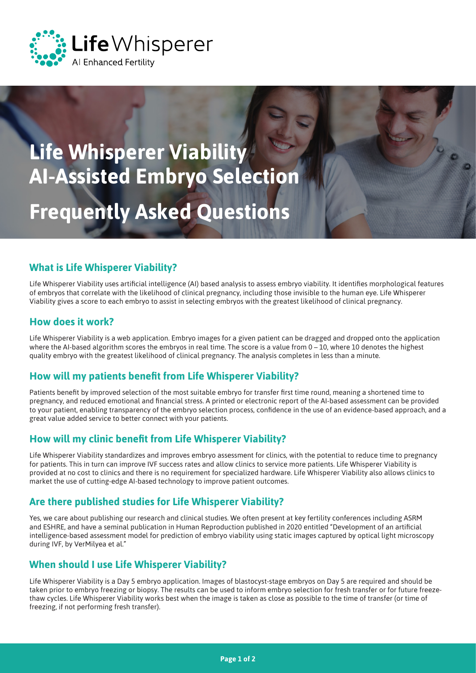

# **Frequently Asked Questions Life Whisperer Viability AI‑Assisted Embryo Selection**

#### **What is Life Whisperer Viability?**

Life Whisperer Viability uses artificial intelligence (AI) based analysis to assess embryo viability. It identifies morphological features of embryos that correlate with the likelihood of clinical pregnancy, including those invisible to the human eye. Life Whisperer Viability gives a score to each embryo to assist in selecting embryos with the greatest likelihood of clinical pregnancy.

#### **How does it work?**

Life Whisperer Viability is a web application. Embryo images for a given patient can be dragged and dropped onto the application where the AI-based algorithm scores the embryos in real time. The score is a value from 0 – 10, where 10 denotes the highest quality embryo with the greatest likelihood of clinical pregnancy. The analysis completes in less than a minute.

#### **How will my patients benefit from Life Whisperer Viability?**

Patients benefit by improved selection of the most suitable embryo for transfer first time round, meaning a shortened time to pregnancy, and reduced emotional and financial stress. A printed or electronic report of the AI-based assessment can be provided to your patient, enabling transparency of the embryo selection process, confidence in the use of an evidence-based approach, and a great value added service to better connect with your patients.

#### **How will my clinic benefit from Life Whisperer Viability?**

Life Whisperer Viability standardizes and improves embryo assessment for clinics, with the potential to reduce time to pregnancy for patients. This in turn can improve IVF success rates and allow clinics to service more patients. Life Whisperer Viability is provided at no cost to clinics and there is no requirement for specialized hardware. Life Whisperer Viability also allows clinics to market the use of cutting-edge AI-based technology to improve patient outcomes.

#### **Are there published studies for Life Whisperer Viability?**

Yes, we care about publishing our research and clinical studies. We often present at key fertility conferences including ASRM and ESHRE, and have a seminal publication in Human Reproduction published in 2020 entitled "Development of an artificial intelligence-based assessment model for prediction of embryo viability using static images captured by optical light microscopy during IVF, by VerMilyea et al."

## **When should I use Life Whisperer Viability?**

Life Whisperer Viability is a Day 5 embryo application. Images of blastocyst-stage embryos on Day 5 are required and should be taken prior to embryo freezing or biopsy. The results can be used to inform embryo selection for fresh transfer or for future freezethaw cycles. Life Whisperer Viability works best when the image is taken as close as possible to the time of transfer (or time of freezing, if not performing fresh transfer).